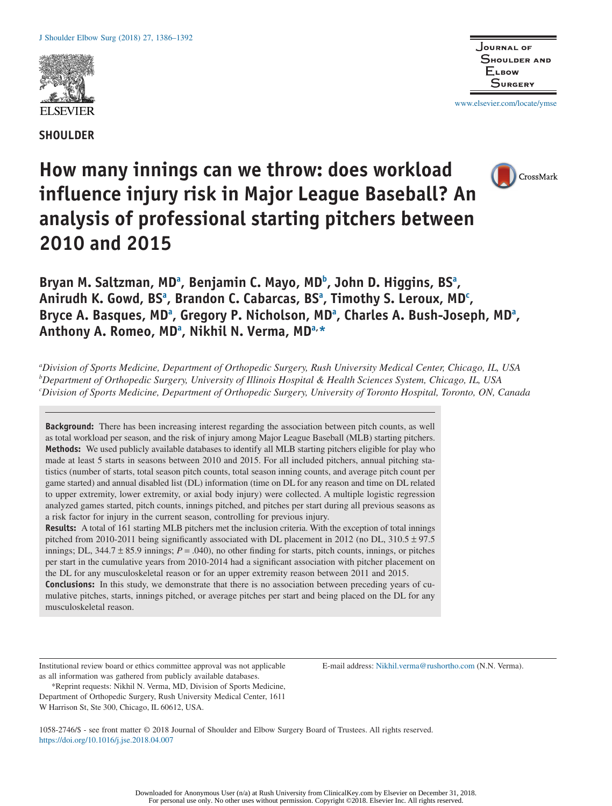

**SHOULDER**



www.elsevier.com/locate/ymse

CrossMark

# **How many innings can we throw: does workload influence injury risk in Major League Baseball? An analysis of professional starting pitchers between 2010 and 2015**

Bryan M. Saltzman, MD<sup>a</sup>, Benjamin C. Mayo, MD<sup>b</sup>, John D. Higgins, BS<sup>a</sup>, Anirudh K. Gowd, BS<sup>a</sup>, Brandon C. Cabarcas, BS<sup>a</sup>, Timothy S. Leroux, MD<sup>c</sup>, Bryce A. Basques, MD<sup>a</sup>, Gregory P. Nicholson, MD<sup>a</sup>, Charles A. Bush-Joseph, MD<sup>a</sup>, Anthony A. Romeo, MD<sup>a</sup>, Nikhil N. Verma, MD<sup>a,</sup>\*

*a Division of Sports Medicine, Department of Orthopedic Surgery, Rush University Medical Center, Chicago, IL, USA b Department of Orthopedic Surgery, University of Illinois Hospital & Health Sciences System, Chicago, IL, USA c Division of Sports Medicine, Department of Orthopedic Surgery, University of Toronto Hospital, Toronto, ON, Canada*

**Background:** There has been increasing interest regarding the association between pitch counts, as well as total workload per season, and the risk of injury among Major League Baseball (MLB) starting pitchers. **Methods:** We used publicly available databases to identify all MLB starting pitchers eligible for play who made at least 5 starts in seasons between 2010 and 2015. For all included pitchers, annual pitching statistics (number of starts, total season pitch counts, total season inning counts, and average pitch count per game started) and annual disabled list (DL) information (time on DL for any reason and time on DL related to upper extremity, lower extremity, or axial body injury) were collected. A multiple logistic regression analyzed games started, pitch counts, innings pitched, and pitches per start during all previous seasons as a risk factor for injury in the current season, controlling for previous injury.

**Results:** A total of 161 starting MLB pitchers met the inclusion criteria. With the exception of total innings pitched from 2010-2011 being significantly associated with DL placement in 2012 (no DL, 310.5 ± 97.5 innings; DL,  $344.7 \pm 85.9$  innings;  $P = .040$ , no other finding for starts, pitch counts, innings, or pitches per start in the cumulative years from 2010-2014 had a significant association with pitcher placement on the DL for any musculoskeletal reason or for an upper extremity reason between 2011 and 2015.

**Conclusions:** In this study, we demonstrate that there is no association between preceding years of cumulative pitches, starts, innings pitched, or average pitches per start and being placed on the DL for any musculoskeletal reason.

Institutional review board or ethics committee approval was not applicable as all information was gathered from publicly available databases.

\*Reprint requests: Nikhil N. Verma, MD, Division of Sports Medicine, Department of Orthopedic Surgery, Rush University Medical Center, 1611 W Harrison St, Ste 300, Chicago, IL 60612, USA.

E-mail address: Nikhil.verma@rushortho.com (N.N. Verma).

1058-2746/\$ - see front matter © 2018 Journal of Shoulder and Elbow Surgery Board of Trustees. All rights reserved. https://doi.org/10.1016/j.jse.2018.04.007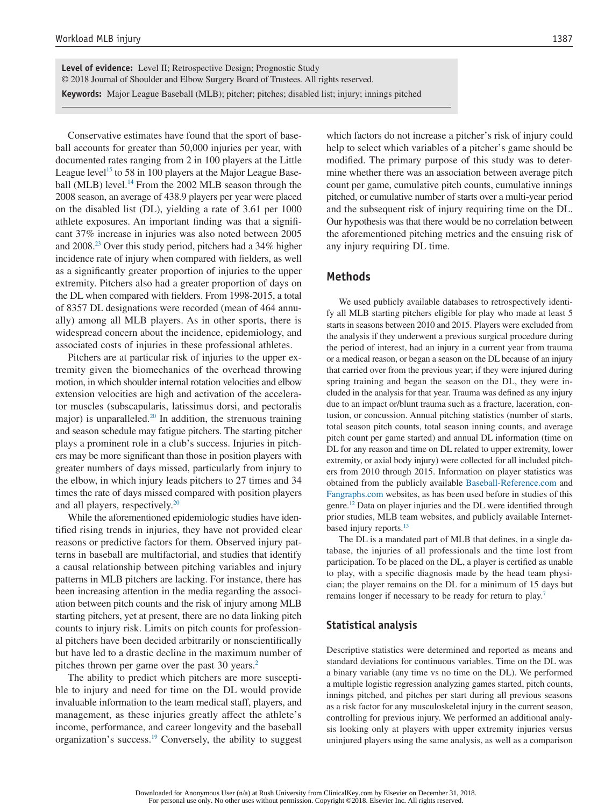**Level of evidence:** Level II; Retrospective Design; Prognostic Study © 2018 Journal of Shoulder and Elbow Surgery Board of Trustees. All rights reserved. **Keywords:** Major League Baseball (MLB); pitcher; pitches; disabled list; injury; innings pitched

Conservative estimates have found that the sport of baseball accounts for greater than 50,000 injuries per year, with documented rates ranging from 2 in 100 players at the Little League level<sup>15</sup> to 58 in 100 players at the Major League Baseball (MLB) level.<sup>14</sup> From the 2002 MLB season through the 2008 season, an average of 438.9 players per year were placed on the disabled list (DL), yielding a rate of 3.61 per 1000 athlete exposures. An important finding was that a significant 37% increase in injuries was also noted between 2005 and 2008.23 Over this study period, pitchers had a 34% higher incidence rate of injury when compared with fielders, as well as a significantly greater proportion of injuries to the upper extremity. Pitchers also had a greater proportion of days on the DL when compared with fielders. From 1998-2015, a total of 8357 DL designations were recorded (mean of 464 annually) among all MLB players. As in other sports, there is widespread concern about the incidence, epidemiology, and associated costs of injuries in these professional athletes.

Pitchers are at particular risk of injuries to the upper extremity given the biomechanics of the overhead throwing motion, in which shoulder internal rotation velocities and elbow extension velocities are high and activation of the accelerator muscles (subscapularis, latissimus dorsi, and pectoralis major) is unparalleled. $20$  In addition, the strenuous training and season schedule may fatigue pitchers. The starting pitcher plays a prominent role in a club's success. Injuries in pitchers may be more significant than those in position players with greater numbers of days missed, particularly from injury to the elbow, in which injury leads pitchers to 27 times and 34 times the rate of days missed compared with position players and all players, respectively.<sup>20</sup>

While the aforementioned epidemiologic studies have identified rising trends in injuries, they have not provided clear reasons or predictive factors for them. Observed injury patterns in baseball are multifactorial, and studies that identify a causal relationship between pitching variables and injury patterns in MLB pitchers are lacking. For instance, there has been increasing attention in the media regarding the association between pitch counts and the risk of injury among MLB starting pitchers, yet at present, there are no data linking pitch counts to injury risk. Limits on pitch counts for professional pitchers have been decided arbitrarily or nonscientifically but have led to a drastic decline in the maximum number of pitches thrown per game over the past 30 years.<sup>2</sup>

The ability to predict which pitchers are more susceptible to injury and need for time on the DL would provide invaluable information to the team medical staff, players, and management, as these injuries greatly affect the athlete's income, performance, and career longevity and the baseball organization's success.19 Conversely, the ability to suggest which factors do not increase a pitcher's risk of injury could help to select which variables of a pitcher's game should be modified. The primary purpose of this study was to determine whether there was an association between average pitch count per game, cumulative pitch counts, cumulative innings pitched, or cumulative number of starts over a multi-year period and the subsequent risk of injury requiring time on the DL. Our hypothesis was that there would be no correlation between the aforementioned pitching metrics and the ensuing risk of any injury requiring DL time.

#### **Methods**

We used publicly available databases to retrospectively identify all MLB starting pitchers eligible for play who made at least 5 starts in seasons between 2010 and 2015. Players were excluded from the analysis if they underwent a previous surgical procedure during the period of interest, had an injury in a current year from trauma or a medical reason, or began a season on the DL because of an injury that carried over from the previous year; if they were injured during spring training and began the season on the DL, they were included in the analysis for that year. Trauma was defined as any injury due to an impact or/blunt trauma such as a fracture, laceration, contusion, or concussion. Annual pitching statistics (number of starts, total season pitch counts, total season inning counts, and average pitch count per game started) and annual DL information (time on DL for any reason and time on DL related to upper extremity, lower extremity, or axial body injury) were collected for all included pitchers from 2010 through 2015. Information on player statistics was obtained from the publicly available Baseball-Reference.com and Fangraphs.com websites, as has been used before in studies of this genre.12 Data on player injuries and the DL were identified through prior studies, MLB team websites, and publicly available Internetbased injury reports. $13$ 

The DL is a mandated part of MLB that defines, in a single database, the injuries of all professionals and the time lost from participation. To be placed on the DL, a player is certified as unable to play, with a specific diagnosis made by the head team physician; the player remains on the DL for a minimum of 15 days but remains longer if necessary to be ready for return to play.<sup>7</sup>

# **Statistical analysis**

Descriptive statistics were determined and reported as means and standard deviations for continuous variables. Time on the DL was a binary variable (any time vs no time on the DL). We performed a multiple logistic regression analyzing games started, pitch counts, innings pitched, and pitches per start during all previous seasons as a risk factor for any musculoskeletal injury in the current season, controlling for previous injury. We performed an additional analysis looking only at players with upper extremity injuries versus uninjured players using the same analysis, as well as a comparison

For personal use only. No other uses without permission. Copyright ©2018. Elsevier Inc. All rights reserved.

Downloaded for Anonymous User (n/a) at Rush University from ClinicalKey.com by Elsevier on December 31, 2018.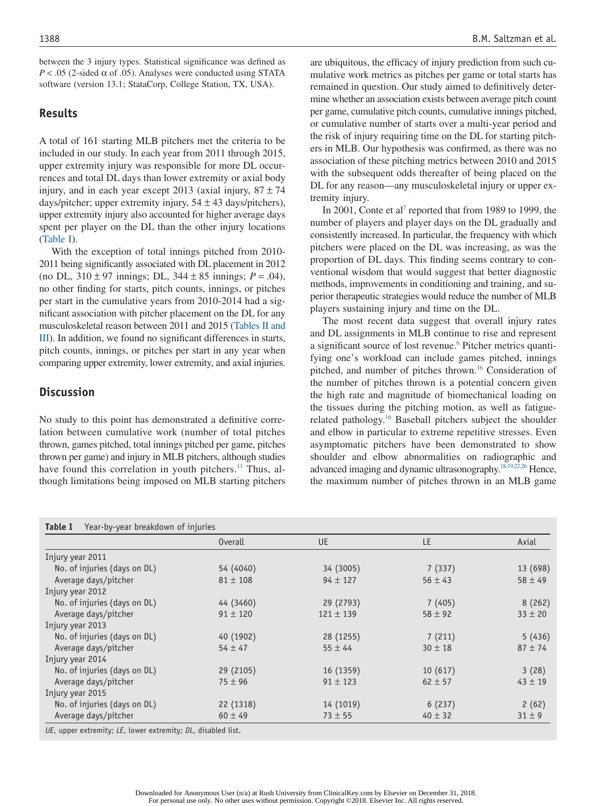between the 3 injury types. Statistical significance was defined as  $P < .05$  (2-sided  $\alpha$  of .05). Analyses were conducted using STATA software (version 13.1; StataCorp, College Station, TX, USA).

#### **Results**

A total of 161 starting MLB pitchers met the criteria to be included in our study. In each year from 2011 through 2015, upper extremity injury was responsible for more DL occurrences and total DL days than lower extremity or axial body injury, and in each year except 2013 (axial injury,  $87 \pm 74$ days/pitcher; upper extremity injury,  $54 \pm 43$  days/pitchers), upper extremity injury also accounted for higher average days spent per player on the DL than the other injury locations (Table I).

With the exception of total innings pitched from 2010- 2011 being significantly associated with DL placement in 2012 (no DL, 310 ± 97 innings; DL, 344 ± 85 innings; *P* = .04), no other finding for starts, pitch counts, innings, or pitches per start in the cumulative years from 2010-2014 had a significant association with pitcher placement on the DL for any musculoskeletal reason between 2011 and 2015 (Tables II and III). In addition, we found no significant differences in starts, pitch counts, innings, or pitches per start in any year when comparing upper extremity, lower extremity, and axial injuries.

# **Discussion**

No study to this point has demonstrated a definitive correlation between cumulative work (number of total pitches thrown, games pitched, total innings pitched per game, pitches thrown per game) and injury in MLB pitchers, although studies have found this correlation in youth pitchers.<sup>11</sup> Thus, although limitations being imposed on MLB starting pitchers are ubiquitous, the efficacy of injury prediction from such cumulative work metrics as pitches per game or total starts has remained in question. Our study aimed to definitively determine whether an association exists between average pitch count per game, cumulative pitch counts, cumulative innings pitched, or cumulative number of starts over a multi-year period and the risk of injury requiring time on the DL for starting pitchers in MLB. Our hypothesis was confirmed, as there was no association of these pitching metrics between 2010 and 2015 with the subsequent odds thereafter of being placed on the DL for any reason—any musculoskeletal injury or upper extremity injury.

In 2001, Conte et al<sup>7</sup> reported that from 1989 to 1999, the number of players and player days on the DL gradually and consistently increased. In particular, the frequency with which pitchers were placed on the DL was increasing, as was the proportion of DL days. This finding seems contrary to conventional wisdom that would suggest that better diagnostic methods, improvements in conditioning and training, and superior therapeutic strategies would reduce the number of MLB players sustaining injury and time on the DL.

The most recent data suggest that overall injury rates and DL assignments in MLB continue to rise and represent a significant source of lost revenue.<sup>6</sup> Pitcher metrics quantifying one's workload can include games pitched, innings pitched, and number of pitches thrown.<sup>16</sup> Consideration of the number of pitches thrown is a potential concern given the high rate and magnitude of biomechanical loading on the tissues during the pitching motion, as well as fatiguerelated pathology.16 Baseball pitchers subject the shoulder and elbow in particular to extreme repetitive stresses. Even asymptomatic pitchers have been demonstrated to show shoulder and elbow abnormalities on radiographic and advanced imaging and dynamic ultrasonography.18,19,22,26 Hence, the maximum number of pitches thrown in an MLB game

|                              | <b>Overall</b> | <b>UE</b>     | LE          | Axial       |
|------------------------------|----------------|---------------|-------------|-------------|
| Injury year 2011             |                |               |             |             |
| No. of injuries (days on DL) | 54 (4040)      | 34 (3005)     | 7(337)      | 13 (698)    |
| Average days/pitcher         | $81 \pm 108$   | $94 \pm 127$  | $56 \pm 43$ | $58 \pm 49$ |
| Injury year 2012             |                |               |             |             |
| No. of injuries (days on DL) | 44 (3460)      | 29 (2793)     | 7(405)      | 8(262)      |
| Average days/pitcher         | $91 \pm 120$   | $121 \pm 139$ | $58 \pm 92$ | $33 \pm 20$ |
| Injury year 2013             |                |               |             |             |
| No. of injuries (days on DL) | 40 (1902)      | 28 (1255)     | 7(211)      | 5(436)      |
| Average days/pitcher         | $54 \pm 47$    | $55 \pm 44$   | $30 \pm 18$ | $87 + 74$   |
| Injury year 2014             |                |               |             |             |
| No. of injuries (days on DL) | 29 (2105)      | 16 (1359)     | 10(617)     | 3(28)       |
| Average days/pitcher         | $75 \pm 96$    | $91 \pm 123$  | $62 \pm 57$ | $43 \pm 19$ |
| Injury year 2015             |                |               |             |             |
| No. of injuries (days on DL) | 22 (1318)      | 14 (1019)     | 6(237)      | 2(62)       |
| Average days/pitcher         | $60 \pm 49$    | $73 \pm 55$   | $40 \pm 32$ | $31 \pm 9$  |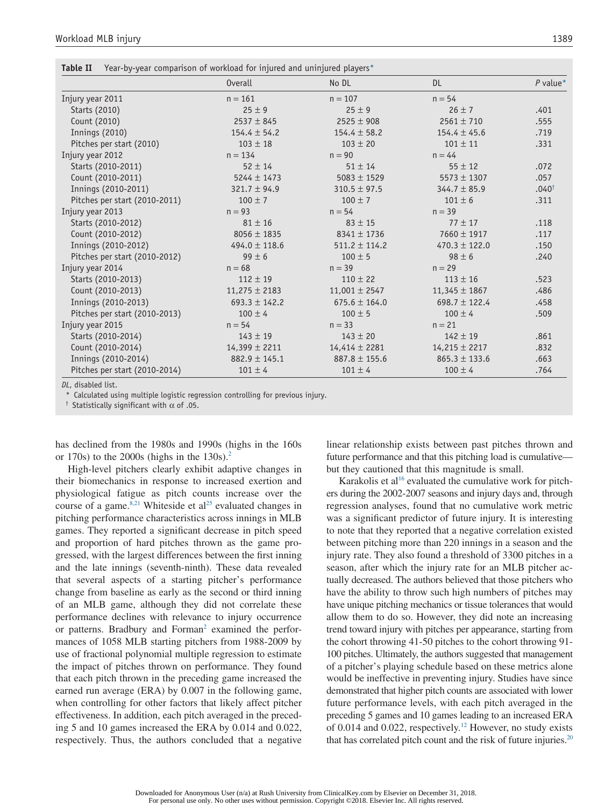| Table II | Year-by-year comparison of workload for injured and uninjured players $*$ |  |  |  |
|----------|---------------------------------------------------------------------------|--|--|--|
|          |                                                                           |  |  |  |

|                               | <b>Overall</b>    | No DL             | DL.               | $P$ value*       |
|-------------------------------|-------------------|-------------------|-------------------|------------------|
| Injury year 2011              | $n = 161$         | $n = 107$         | $n = 54$          |                  |
| Starts (2010)                 | $25 \pm 9$        | $25 \pm 9$        | $26 \pm 7$        | .401             |
| Count (2010)                  | $2537 \pm 845$    | $2525 \pm 908$    | $2561 \pm 710$    | .555             |
| <b>Innings (2010)</b>         | $154.4 \pm 54.2$  | $154.4 \pm 58.2$  | $154.4 \pm 45.6$  | .719             |
| Pitches per start (2010)      | $103 \pm 18$      | $103 \pm 20$      | $101 \pm 11$      | .331             |
| Injury year 2012              | $n = 134$         | $n = 90$          | $n = 44$          |                  |
| Starts (2010-2011)            | $52 \pm 14$       | $51 \pm 14$       | $55 \pm 12$       | .072             |
| Count (2010-2011)             | $5244 \pm 1473$   | $5083 \pm 1529$   | $5573 \pm 1307$   | .057             |
| Innings (2010-2011)           | $321.7 \pm 94.9$  | $310.5 \pm 97.5$  | $344.7 \pm 85.9$  | $.040^{\dagger}$ |
| Pitches per start (2010-2011) | $100 \pm 7$       | $100 \pm 7$       | $101 \pm 6$       | .311             |
| Injury year 2013              | $n = 93$          | $n = 54$          | $n = 39$          |                  |
| Starts (2010-2012)            | $81 \pm 16$       | $83 \pm 15$       | $77 \pm 17$       | .118             |
| Count (2010-2012)             | $8056 \pm 1835$   | $8341 \pm 1736$   | $7660 \pm 1917$   | .117             |
| Innings (2010-2012)           | 494.0 $\pm$ 118.6 | $511.2 \pm 114.2$ | $470.3 \pm 122.0$ | .150             |
| Pitches per start (2010-2012) | $99 \pm 6$        | $100 \pm 5$       | $98 \pm 6$        | .240             |
| Injury year 2014              | $n = 68$          | $n = 39$          | $n = 29$          |                  |
| Starts (2010-2013)            | $112 \pm 19$      | $110 \pm 22$      | $113 \pm 16$      | .523             |
| Count (2010-2013)             | $11,275 \pm 2183$ | $11,001 \pm 2547$ | $11,345 \pm 1867$ | .486             |
| Innings (2010-2013)           | $693.3 \pm 142.2$ | $675.6 \pm 164.0$ | $698.7 \pm 122.4$ | .458             |
| Pitches per start (2010-2013) | $100 \pm 4$       | $100 \pm 5$       | $100 \pm 4$       | .509             |
| Injury year 2015              | $n = 54$          | $n = 33$          | $n = 21$          |                  |
| Starts (2010-2014)            | $143 \pm 19$      | $143 \pm 20$      | $142 \pm 19$      | .861             |
| Count (2010-2014)             | $14,399 \pm 2211$ | $14,414 \pm 2281$ | $14,215 \pm 2217$ | .832             |
| Innings (2010-2014)           | $882.9 \pm 145.1$ | $887.8 \pm 155.6$ | $865.3 \pm 133.6$ | .663             |
| Pitches per start (2010-2014) | $101 \pm 4$       | $101 \pm 4$       | $100 \pm 4$       | .764             |

*DL*, disabled list.

\* Calculated using multiple logistic regression controlling for previous injury.

<sup>†</sup> Statistically significant with  $\alpha$  of .05.

has declined from the 1980s and 1990s (highs in the 160s or 170s) to the 2000s (highs in the  $130s$ ).<sup>2</sup>

High-level pitchers clearly exhibit adaptive changes in their biomechanics in response to increased exertion and physiological fatigue as pitch counts increase over the course of a game.<sup>8,21</sup> Whiteside et al<sup>25</sup> evaluated changes in pitching performance characteristics across innings in MLB games. They reported a significant decrease in pitch speed and proportion of hard pitches thrown as the game progressed, with the largest differences between the first inning and the late innings (seventh-ninth). These data revealed that several aspects of a starting pitcher's performance change from baseline as early as the second or third inning of an MLB game, although they did not correlate these performance declines with relevance to injury occurrence or patterns. Bradbury and Forman<sup>2</sup> examined the performances of 1058 MLB starting pitchers from 1988-2009 by use of fractional polynomial multiple regression to estimate the impact of pitches thrown on performance. They found that each pitch thrown in the preceding game increased the earned run average (ERA) by 0.007 in the following game, when controlling for other factors that likely affect pitcher effectiveness. In addition, each pitch averaged in the preceding 5 and 10 games increased the ERA by 0.014 and 0.022, respectively. Thus, the authors concluded that a negative

linear relationship exists between past pitches thrown and future performance and that this pitching load is cumulative but they cautioned that this magnitude is small.

Karakolis et al<sup>16</sup> evaluated the cumulative work for pitchers during the 2002-2007 seasons and injury days and, through regression analyses, found that no cumulative work metric was a significant predictor of future injury. It is interesting to note that they reported that a negative correlation existed between pitching more than 220 innings in a season and the injury rate. They also found a threshold of 3300 pitches in a season, after which the injury rate for an MLB pitcher actually decreased. The authors believed that those pitchers who have the ability to throw such high numbers of pitches may have unique pitching mechanics or tissue tolerances that would allow them to do so. However, they did note an increasing trend toward injury with pitches per appearance, starting from the cohort throwing 41-50 pitches to the cohort throwing 91- 100 pitches. Ultimately, the authors suggested that management of a pitcher's playing schedule based on these metrics alone would be ineffective in preventing injury. Studies have since demonstrated that higher pitch counts are associated with lower future performance levels, with each pitch averaged in the preceding 5 games and 10 games leading to an increased ERA of 0.014 and 0.022, respectively.12 However, no study exists that has correlated pitch count and the risk of future injuries. $20$ 

For personal use only. No other uses without permission. Copyright ©2018. Elsevier Inc. All rights reserved.

Downloaded for Anonymous User (n/a) at Rush University from ClinicalKey.com by Elsevier on December 31, 2018.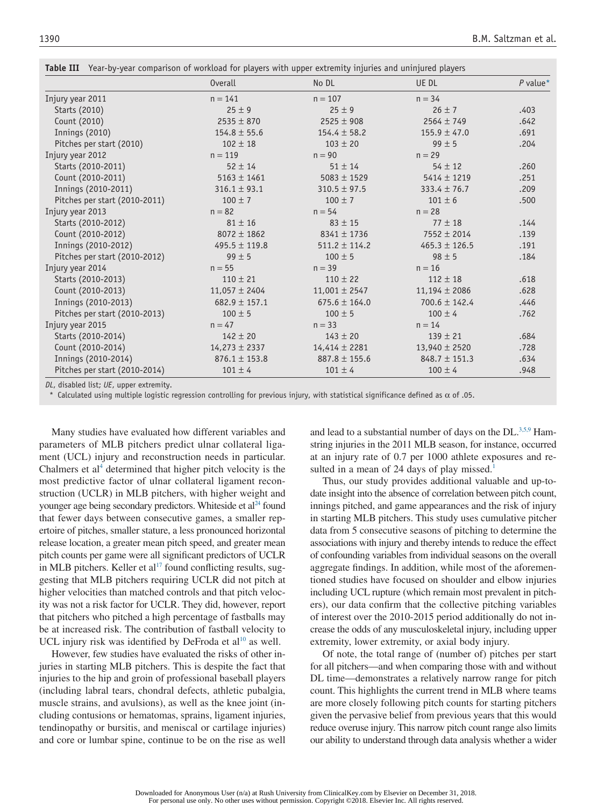| Table III Year-by-year comparison of workload for players with upper extremity injuries and uninjured players |  |
|---------------------------------------------------------------------------------------------------------------|--|
|---------------------------------------------------------------------------------------------------------------|--|

|                               | <b>Overall</b>    | No DL             | UE DL             | $P$ value* |
|-------------------------------|-------------------|-------------------|-------------------|------------|
| Injury year 2011              | $n = 141$         | $n = 107$         | $n = 34$          |            |
| Starts (2010)                 | $25 \pm 9$        | $25 \pm 9$        | $26 \pm 7$        | .403       |
| Count (2010)                  | $2535 \pm 870$    | $2525 \pm 908$    | $2564 \pm 749$    | .642       |
| <b>Innings (2010)</b>         | $154.8 \pm 55.6$  | $154.4 \pm 58.2$  | $155.9 \pm 47.0$  | .691       |
| Pitches per start (2010)      | $102 \pm 18$      | $103 \pm 20$      | $99 \pm 5$        | .204       |
| Injury year 2012              | $n = 119$         | $n = 90$          | $n = 29$          |            |
| Starts (2010-2011)            | $52 \pm 14$       | $51 \pm 14$       | $54 \pm 12$       | .260       |
| Count (2010-2011)             | $5163 \pm 1461$   | $5083 \pm 1529$   | $5414 \pm 1219$   | .251       |
| Innings (2010-2011)           | $316.1 \pm 93.1$  | $310.5 \pm 97.5$  | $333.4 \pm 76.7$  | .209       |
| Pitches per start (2010-2011) | $100 \pm 7$       | $100 \pm 7$       | $101 \pm 6$       | .500       |
| Injury year 2013              | $n = 82$          | $n = 54$          | $n = 28$          |            |
| Starts (2010-2012)            | $81 \pm 16$       | $83 \pm 15$       | $77 \pm 18$       | .144       |
| Count (2010-2012)             | $8072 \pm 1862$   | $8341 \pm 1736$   | $7552 \pm 2014$   | .139       |
| Innings (2010-2012)           | $495.5 \pm 119.8$ | $511.2 \pm 114.2$ | $465.3 \pm 126.5$ | .191       |
| Pitches per start (2010-2012) | $99 \pm 5$        | $100 \pm 5$       | $98 \pm 5$        | .184       |
| Injury year 2014              | $n = 55$          | $n = 39$          | $n = 16$          |            |
| Starts (2010-2013)            | $110 \pm 21$      | $110 \pm 22$      | $112 \pm 18$      | .618       |
| Count (2010-2013)             | $11,057 \pm 2404$ | $11,001 \pm 2547$ | $11,194 \pm 2086$ | .628       |
| Innings (2010-2013)           | $682.9 \pm 157.1$ | $675.6 \pm 164.0$ | $700.6 \pm 142.4$ | .446       |
| Pitches per start (2010-2013) | $100 \pm 5$       | $100 \pm 5$       | $100 \pm 4$       | .762       |
| Injury year 2015              | $n = 47$          | $n = 33$          | $n = 14$          |            |
| Starts (2010-2014)            | $142 \pm 20$      | $143 \pm 20$      | $139 \pm 21$      | .684       |
| Count (2010-2014)             | $14,273 \pm 2337$ | $14,414 \pm 2281$ | $13,940 \pm 2520$ | .728       |
| Innings (2010-2014)           | $876.1 \pm 153.8$ | $887.8 \pm 155.6$ | $848.7 \pm 151.3$ | .634       |
| Pitches per start (2010-2014) | $101 \pm 4$       | $101 \pm 4$       | $100 \pm 4$       | .948       |
|                               |                   |                   |                   |            |

*DL*, disabled list; *UE*, upper extremity.

Calculated using multiple logistic regression controlling for previous injury, with statistical significance defined as  $\alpha$  of .05.

Many studies have evaluated how different variables and parameters of MLB pitchers predict ulnar collateral ligament (UCL) injury and reconstruction needs in particular. Chalmers et al<sup>4</sup> determined that higher pitch velocity is the most predictive factor of ulnar collateral ligament reconstruction (UCLR) in MLB pitchers, with higher weight and younger age being secondary predictors. Whiteside et al<sup>24</sup> found that fewer days between consecutive games, a smaller repertoire of pitches, smaller stature, a less pronounced horizontal release location, a greater mean pitch speed, and greater mean pitch counts per game were all significant predictors of UCLR in MLB pitchers. Keller et  $al^{17}$  found conflicting results, suggesting that MLB pitchers requiring UCLR did not pitch at higher velocities than matched controls and that pitch velocity was not a risk factor for UCLR. They did, however, report that pitchers who pitched a high percentage of fastballs may be at increased risk. The contribution of fastball velocity to UCL injury risk was identified by DeFroda et  $al^{10}$  as well.

However, few studies have evaluated the risks of other injuries in starting MLB pitchers. This is despite the fact that injuries to the hip and groin of professional baseball players (including labral tears, chondral defects, athletic pubalgia, muscle strains, and avulsions), as well as the knee joint (including contusions or hematomas, sprains, ligament injuries, tendinopathy or bursitis, and meniscal or cartilage injuries) and core or lumbar spine, continue to be on the rise as well and lead to a substantial number of days on the  $DL^{3,5,9}$  Hamstring injuries in the 2011 MLB season, for instance, occurred at an injury rate of 0.7 per 1000 athlete exposures and resulted in a mean of 24 days of play missed.<sup>1</sup>

Thus, our study provides additional valuable and up-todate insight into the absence of correlation between pitch count, innings pitched, and game appearances and the risk of injury in starting MLB pitchers. This study uses cumulative pitcher data from 5 consecutive seasons of pitching to determine the associations with injury and thereby intends to reduce the effect of confounding variables from individual seasons on the overall aggregate findings. In addition, while most of the aforementioned studies have focused on shoulder and elbow injuries including UCL rupture (which remain most prevalent in pitchers), our data confirm that the collective pitching variables of interest over the 2010-2015 period additionally do not increase the odds of any musculoskeletal injury, including upper extremity, lower extremity, or axial body injury.

Of note, the total range of (number of) pitches per start for all pitchers—and when comparing those with and without DL time—demonstrates a relatively narrow range for pitch count. This highlights the current trend in MLB where teams are more closely following pitch counts for starting pitchers given the pervasive belief from previous years that this would reduce overuse injury. This narrow pitch count range also limits our ability to understand through data analysis whether a wider

Downloaded for Anonymous User (n/a) at Rush University from ClinicalKey.com by Elsevier on December 31, 2018. For personal use only. No other uses without permission. Copyright ©2018. Elsevier Inc. All rights reserved.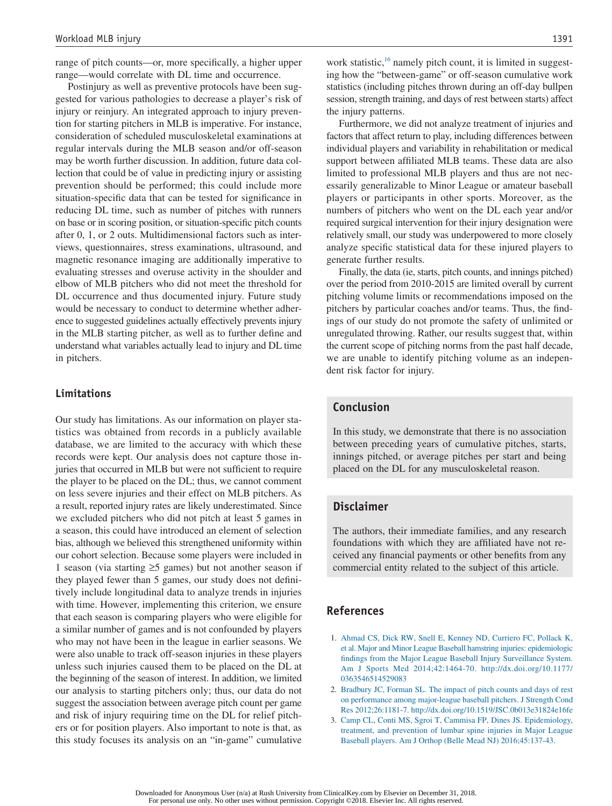range of pitch counts—or, more specifically, a higher upper range—would correlate with DL time and occurrence.

Postinjury as well as preventive protocols have been suggested for various pathologies to decrease a player's risk of injury or reinjury. An integrated approach to injury prevention for starting pitchers in MLB is imperative. For instance, consideration of scheduled musculoskeletal examinations at regular intervals during the MLB season and/or off-season may be worth further discussion. In addition, future data collection that could be of value in predicting injury or assisting prevention should be performed; this could include more situation-specific data that can be tested for significance in reducing DL time, such as number of pitches with runners on base or in scoring position, or situation-specific pitch counts after 0, 1, or 2 outs. Multidimensional factors such as interviews, questionnaires, stress examinations, ultrasound, and magnetic resonance imaging are additionally imperative to evaluating stresses and overuse activity in the shoulder and elbow of MLB pitchers who did not meet the threshold for DL occurrence and thus documented injury. Future study would be necessary to conduct to determine whether adherence to suggested guidelines actually effectively prevents injury in the MLB starting pitcher, as well as to further define and understand what variables actually lead to injury and DL time in pitchers.

#### **Limitations**

Our study has limitations. As our information on player statistics was obtained from records in a publicly available database, we are limited to the accuracy with which these records were kept. Our analysis does not capture those injuries that occurred in MLB but were not sufficient to require the player to be placed on the DL; thus, we cannot comment on less severe injuries and their effect on MLB pitchers. As a result, reported injury rates are likely underestimated. Since we excluded pitchers who did not pitch at least 5 games in a season, this could have introduced an element of selection bias, although we believed this strengthened uniformity within our cohort selection. Because some players were included in 1 season (via starting ≥5 games) but not another season if they played fewer than 5 games, our study does not definitively include longitudinal data to analyze trends in injuries with time. However, implementing this criterion, we ensure that each season is comparing players who were eligible for a similar number of games and is not confounded by players who may not have been in the league in earlier seasons. We were also unable to track off-season injuries in these players unless such injuries caused them to be placed on the DL at the beginning of the season of interest. In addition, we limited our analysis to starting pitchers only; thus, our data do not suggest the association between average pitch count per game and risk of injury requiring time on the DL for relief pitchers or for position players. Also important to note is that, as this study focuses its analysis on an "in-game" cumulative

work statistic,<sup>16</sup> namely pitch count, it is limited in suggesting how the "between-game" or off-season cumulative work statistics (including pitches thrown during an off-day bullpen session, strength training, and days of rest between starts) affect the injury patterns.

Furthermore, we did not analyze treatment of injuries and factors that affect return to play, including differences between individual players and variability in rehabilitation or medical support between affiliated MLB teams. These data are also limited to professional MLB players and thus are not necessarily generalizable to Minor League or amateur baseball players or participants in other sports. Moreover, as the numbers of pitchers who went on the DL each year and/or required surgical intervention for their injury designation were relatively small, our study was underpowered to more closely analyze specific statistical data for these injured players to generate further results.

Finally, the data (ie, starts, pitch counts, and innings pitched) over the period from 2010-2015 are limited overall by current pitching volume limits or recommendations imposed on the pitchers by particular coaches and/or teams. Thus, the findings of our study do not promote the safety of unlimited or unregulated throwing. Rather, our results suggest that, within the current scope of pitching norms from the past half decade, we are unable to identify pitching volume as an independent risk factor for injury.

#### **Conclusion**

In this study, we demonstrate that there is no association between preceding years of cumulative pitches, starts, innings pitched, or average pitches per start and being placed on the DL for any musculoskeletal reason.

# **Disclaimer**

The authors, their immediate families, and any research foundations with which they are affiliated have not received any financial payments or other benefits from any commercial entity related to the subject of this article.

# **References**

- 1. Ahmad CS, Dick RW, Snell E, Kenney ND, Curriero FC, Pollack K, et al. Major and Minor League Baseball hamstring injuries: epidemiologic findings from the Major League Baseball Injury Surveillance System. Am J Sports Med 2014;42:1464-70. http://dx.doi.org/10.1177/ 0363546514529083
- 2. Bradbury JC, Forman SL. The impact of pitch counts and days of rest on performance among major-league baseball pitchers. J Strength Cond Res 2012;26:1181-7. http://dx.doi.org/10.1519/JSC.0b013e31824e16fe
- 3. Camp CL, Conti MS, Sgroi T, Cammisa FP, Dines JS. Epidemiology, treatment, and prevention of lumbar spine injuries in Major League Baseball players. Am J Orthop (Belle Mead NJ) 2016;45:137-43.